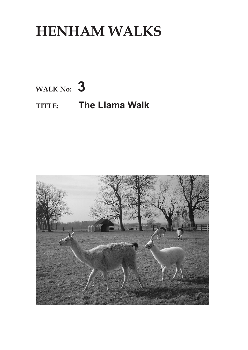# **HENHAM WALKS**

**WALK No: 3**

# **TITLE: The Llama Walk**

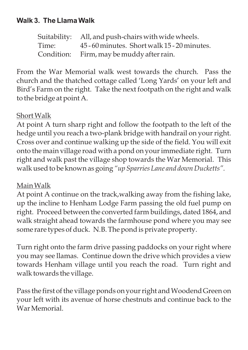## **Walk 3. The Llama Walk**

Suitability: All, and push-chairs with wide wheels. Time: 45 - 60 minutes. Short walk 15 - 20 minutes. Condition: Firm, may be muddy after rain.

From the War Memorial walk west towards the church. Pass the church and the thatched cottage called 'Long Yards' on your left and Bird's Farm on the right. Take the next footpath on the right and walk to the bridge at point A.

#### ShortWalk

At point A turn sharp right and follow the footpath to the left of the hedge until you reach a two-plank bridge with handrail on your right. Cross over and continue walking up the side of the field. You will exit onto the main village road with a pond on your immediate right. Turn right and walk past the village shop towards the War Memorial. This walk used to be known as going *"up Sparries Lane and down Ducketts".*

### MainWalk

At point A continue on the track,walking away from the fishing lake, up the incline to Henham Lodge Farm passing the old fuel pump on right. Proceed between the converted farm buildings, dated 1864, and walk straight ahead towards the farmhouse pond where you may see some rare types of duck. N.B. The pond is private property.

Turn right onto the farm drive passing paddocks on your right where you may see llamas. Continue down the drive which provides a view towards Henham village until you reach the road. Turn right and walk towards the village.

Pass the first of the village ponds on your right and Woodend Green on your left with its avenue of horse chestnuts and continue back to the War Memorial.